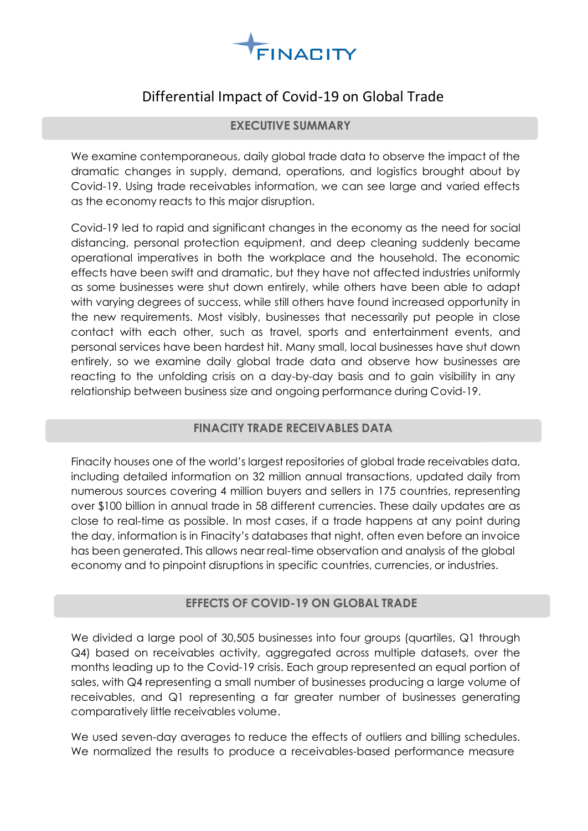

# Differential Impact of Covid-19 on Global Trade

### **EXECUTIVE SUMMARY**

We examine contemporaneous, daily global trade data to observe the impact of the dramatic changes in supply, demand, operations, and logistics brought about by Covid-19. Using trade receivables information, we can see large and varied effects as the economy reacts to this major disruption.

Covid-19 led to rapid and significant changes in the economy as the need for social distancing, personal protection equipment, and deep cleaning suddenly became operational imperatives in both the workplace and the household. The economic effects have been swift and dramatic, but they have not affected industries uniformly as some businesses were shut down entirely, while others have been able to adapt with varying degrees of success, while still others have found increased opportunity in the new requirements. Most visibly, businesses that necessarily put people in close contact with each other, such as travel, sports and entertainment events, and personal services have been hardest hit. Many small, local businesses have shut down entirely, so we examine daily global trade data and observe how businesses are reacting to the unfolding crisis on a day-by-day basis and to gain visibility in any relationship between business size and ongoing performance during Covid-19.

## **FINACITY TRADE RECEIVABLES DATA**

Finacity houses one of the world's largest repositories of global trade receivables data, including detailed information on 32 million annual transactions, updated daily from numerous sources covering 4 million buyers and sellers in 175 countries, representing over \$100 billion in annual trade in 58 different currencies. These daily updates are as close to real-time as possible. In most cases, if a trade happens at any point during the day, information is in Finacity's databases that night, often even before an invoice has been generated. This allows near real-time observation and analysis of the global economy and to pinpoint disruptions in specific countries, currencies, or industries.

## **EFFECTS OF COVID-19 ON GLOBAL TRADE**

We divided a large pool of 30,505 businesses into four groups (quartiles, Q1 through Q4) based on receivables activity, aggregated across multiple datasets, over the months leading up to the Covid-19 crisis. Each group represented an equal portion of sales, with Q4 representing a small number of businesses producing a large volume of receivables, and Q1 representing a far greater number of businesses generating comparatively little receivables volume.

We used seven-day averages to reduce the effects of outliers and billing schedules. We normalized the results to produce a receivables-based performance measure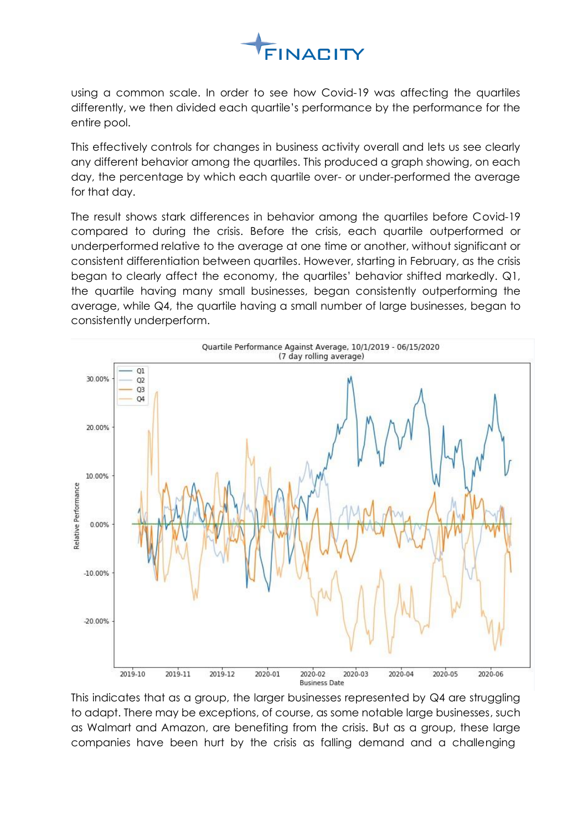

using a common scale. In order to see how Covid-19 was affecting the quartiles differently, we then divided each quartile's performance by the performance for the entire pool.

This effectively controls for changes in business activity overall and lets us see clearly any different behavior among the quartiles. This produced a graph showing, on each day, the percentage by which each quartile over- or under-performed the average for that day.

The result shows stark differences in behavior among the quartiles before Covid-19 compared to during the crisis. Before the crisis, each quartile outperformed or underperformed relative to the average at one time or another, without significant or consistent differentiation between quartiles. However, starting in February, as the crisis began to clearly affect the economy, the quartiles' behavior shifted markedly. Q1, the quartile having many small businesses, began consistently outperforming the average, while Q4, the quartile having a small number of large businesses, began to consistently underperform.



This indicates that as a group, the larger businesses represented by Q4 are struggling to adapt. There may be exceptions, of course, as some notable large businesses, such as Walmart and Amazon, are benefiting from the crisis. But as a group, these large companies have been hurt by the crisis as falling demand and a challenging